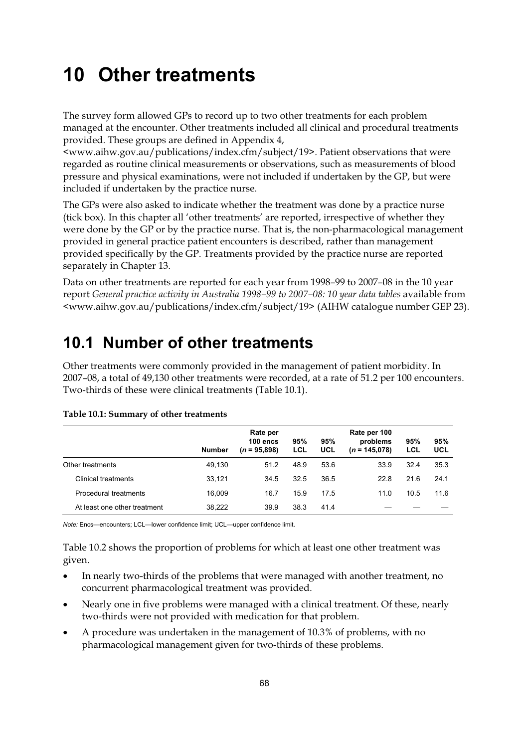# **10 Other treatments**

The survey form allowed GPs to record up to two other treatments for each problem managed at the encounter. Other treatments included all clinical and procedural treatments provided. These groups are defined in Appendix 4,

<www.aihw.gov.au/publications/index.cfm/subject/19>. Patient observations that were regarded as routine clinical measurements or observations, such as measurements of blood pressure and physical examinations, were not included if undertaken by the GP, but were included if undertaken by the practice nurse.

The GPs were also asked to indicate whether the treatment was done by a practice nurse (tick box). In this chapter all 'other treatments' are reported, irrespective of whether they were done by the GP or by the practice nurse. That is, the non-pharmacological management provided in general practice patient encounters is described, rather than management provided specifically by the GP. Treatments provided by the practice nurse are reported separately in Chapter 13.

Data on other treatments are reported for each year from 1998–99 to 2007–08 in the 10 year report *General practice activity in Australia 1998–99 to 2007–08: 10 year data tables* available from <www.aihw.gov.au/publications/index.cfm/subject/19> (AIHW catalogue number GEP 23).

## **10.1 Number of other treatments**

Other treatments were commonly provided in the management of patient morbidity. In 2007–08, a total of 49,130 other treatments were recorded, at a rate of 51.2 per 100 encounters. Two-thirds of these were clinical treatments (Table 10.1).

|                              | <b>Number</b> | Rate per<br>$100$ encs<br>$(n = 95,898)$ | 95%<br>LCL | 95%<br><b>UCL</b> | Rate per 100<br>problems<br>$(n = 145.078)$ | 95%<br>LCL | 95%<br>UCL |
|------------------------------|---------------|------------------------------------------|------------|-------------------|---------------------------------------------|------------|------------|
| Other treatments             | 49.130        | 51.2                                     | 48.9       | 53.6              | 33.9                                        | 32.4       | 35.3       |
| Clinical treatments          | 33.121        | 34.5                                     | 32.5       | 36.5              | 22.8                                        | 21.6       | 24.1       |
| Procedural treatments        | 16.009        | 16.7                                     | 15.9       | 17.5              | 11.0                                        | 10.5       | 11.6       |
| At least one other treatment | 38,222        | 39.9                                     | 38.3       | 41.4              |                                             |            |            |

#### **Table 10.1: Summary of other treatments**

*Note:* Encs—encounters; LCL—lower confidence limit; UCL—upper confidence limit.

Table 10.2 shows the proportion of problems for which at least one other treatment was given.

- $\bullet$  In nearly two-thirds of the problems that were managed with another treatment, no concurrent pharmacological treatment was provided.
- $\bullet$  Nearly one in five problems were managed with a clinical treatment. Of these, nearly two-thirds were not provided with medication for that problem.
- $\bullet$  A procedure was undertaken in the management of 10.3% of problems, with no pharmacological management given for two-thirds of these problems.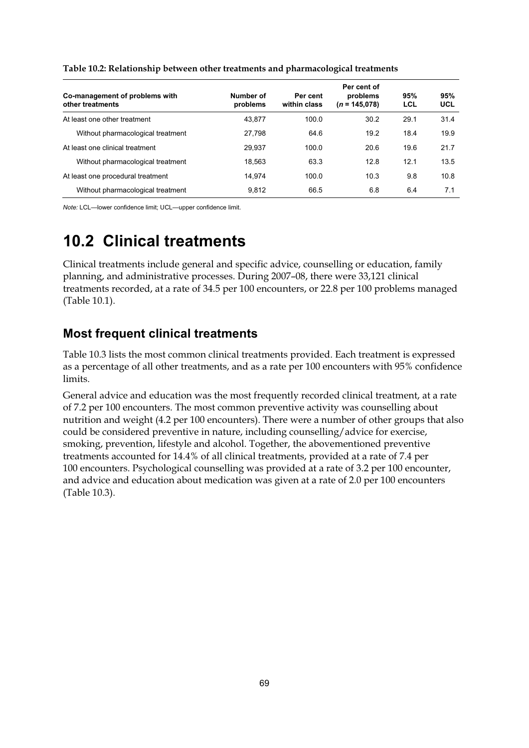| Co-management of problems with<br>other treatments | Number of<br>problems | Per cent<br>within class | Per cent of<br>problems<br>$(n = 145.078)$ | 95%<br>LCL | 95%<br>UCL |
|----------------------------------------------------|-----------------------|--------------------------|--------------------------------------------|------------|------------|
| At least one other treatment                       | 43.877                | 100.0                    | 30.2                                       | 29.1       | 31.4       |
| Without pharmacological treatment                  | 27,798                | 64.6                     | 19.2                                       | 18.4       | 19.9       |
| At least one clinical treatment                    | 29.937                | 100.0                    | 20.6                                       | 19.6       | 21.7       |
| Without pharmacological treatment                  | 18.563                | 63.3                     | 12.8                                       | 12.1       | 13.5       |
| At least one procedural treatment                  | 14.974                | 100.0                    | 10.3                                       | 9.8        | 10.8       |
| Without pharmacological treatment                  | 9.812                 | 66.5                     | 6.8                                        | 6.4        | 7.1        |

**Table 10.2: Relationship between other treatments and pharmacological treatments** 

*Note:* LCL—lower confidence limit; UCL—upper confidence limit.

## **10.2 Clinical treatments**

Clinical treatments include general and specific advice, counselling or education, family planning, and administrative processes. During 2007–08, there were 33,121 clinical treatments recorded, at a rate of 34.5 per 100 encounters, or 22.8 per 100 problems managed (Table 10.1).

### **Most frequent clinical treatments**

Table 10.3 lists the most common clinical treatments provided. Each treatment is expressed as a percentage of all other treatments, and as a rate per 100 encounters with 95% confidence limits.

General advice and education was the most frequently recorded clinical treatment, at a rate of 7.2 per 100 encounters. The most common preventive activity was counselling about nutrition and weight (4.2 per 100 encounters). There were a number of other groups that also could be considered preventive in nature, including counselling/advice for exercise, smoking, prevention, lifestyle and alcohol. Together, the abovementioned preventive treatments accounted for 14.4% of all clinical treatments, provided at a rate of 7.4 per 100 encounters. Psychological counselling was provided at a rate of 3.2 per 100 encounter, and advice and education about medication was given at a rate of 2.0 per 100 encounters (Table 10.3).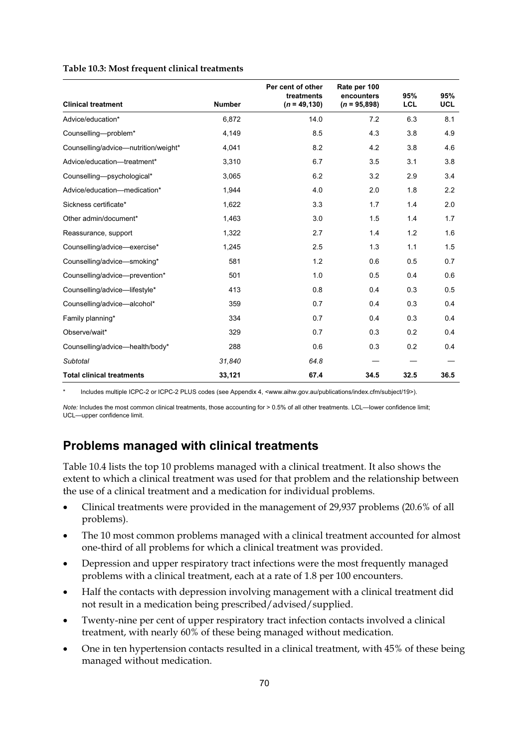| Table 10.3: Most frequent clinical treatments |  |  |
|-----------------------------------------------|--|--|
|-----------------------------------------------|--|--|

| <b>Clinical treatment</b>            | <b>Number</b> | Per cent of other<br>treatments<br>$(n = 49, 130)$ | Rate per 100<br>encounters<br>$(n = 95,898)$ | 95%<br><b>LCL</b> | 95%<br><b>UCL</b> |
|--------------------------------------|---------------|----------------------------------------------------|----------------------------------------------|-------------------|-------------------|
| Advice/education*                    | 6,872         | 14.0                                               | 7.2                                          | 6.3               | 8.1               |
| Counselling-problem*                 | 4,149         | 8.5                                                | 4.3                                          | 3.8               | 4.9               |
| Counselling/advice-nutrition/weight* | 4,041         | 8.2                                                | 4.2                                          | 3.8               | 4.6               |
| Advice/education-treatment*          | 3,310         | 6.7                                                | 3.5                                          | 3.1               | 3.8               |
| Counselling-psychological*           | 3,065         | 6.2                                                | 3.2                                          | 2.9               | 3.4               |
| Advice/education-medication*         | 1,944         | 4.0                                                | 2.0                                          | 1.8               | 2.2               |
| Sickness certificate*                | 1,622         | 3.3                                                | 1.7                                          | 1.4               | 2.0               |
| Other admin/document*                | 1,463         | 3.0                                                | 1.5                                          | 1.4               | 1.7               |
| Reassurance, support                 | 1,322         | 2.7                                                | 1.4                                          | 1.2               | 1.6               |
| Counselling/advice-exercise*         | 1,245         | 2.5                                                | 1.3                                          | 1.1               | 1.5               |
| Counselling/advice-smoking*          | 581           | 1.2                                                | 0.6                                          | 0.5               | 0.7               |
| Counselling/advice-prevention*       | 501           | 1.0                                                | 0.5                                          | 0.4               | 0.6               |
| Counselling/advice-lifestyle*        | 413           | 0.8                                                | 0.4                                          | 0.3               | 0.5               |
| Counselling/advice-alcohol*          | 359           | 0.7                                                | 0.4                                          | 0.3               | 0.4               |
| Family planning*                     | 334           | 0.7                                                | 0.4                                          | 0.3               | 0.4               |
| Observe/wait*                        | 329           | 0.7                                                | 0.3                                          | 0.2               | 0.4               |
| Counselling/advice-health/body*      | 288           | 0.6                                                | 0.3                                          | 0.2               | 0.4               |
| Subtotal                             | 31,840        | 64.8                                               |                                              |                   |                   |
| <b>Total clinical treatments</b>     | 33,121        | 67.4                                               | 34.5                                         | 32.5              | 36.5              |

Includes multiple ICPC-2 or ICPC-2 PLUS codes (see Appendix 4, <www.aihw.gov.au/publications/index.cfm/subject/19>).

*Note:* Includes the most common clinical treatments, those accounting for > 0.5% of all other treatments. LCL—lower confidence limit; UCL—upper confidence limit.

## **Problems managed with clinical treatments**

Table 10.4 lists the top 10 problems managed with a clinical treatment. It also shows the extent to which a clinical treatment was used for that problem and the relationship between the use of a clinical treatment and a medication for individual problems.

- $\bullet$  Clinical treatments were provided in the management of 29,937 problems (20.6% of all problems).
- $\bullet$  The 10 most common problems managed with a clinical treatment accounted for almost one-third of all problems for which a clinical treatment was provided.
- - Depression and upper respiratory tract infections were the most frequently managed problems with a clinical treatment, each at a rate of 1.8 per 100 encounters.
- - Half the contacts with depression involving management with a clinical treatment did not result in a medication being prescribed/advised/supplied.
- $\bullet$  Twenty-nine per cent of upper respiratory tract infection contacts involved a clinical treatment, with nearly 60% of these being managed without medication.
- $\bullet$  One in ten hypertension contacts resulted in a clinical treatment, with 45% of these being managed without medication.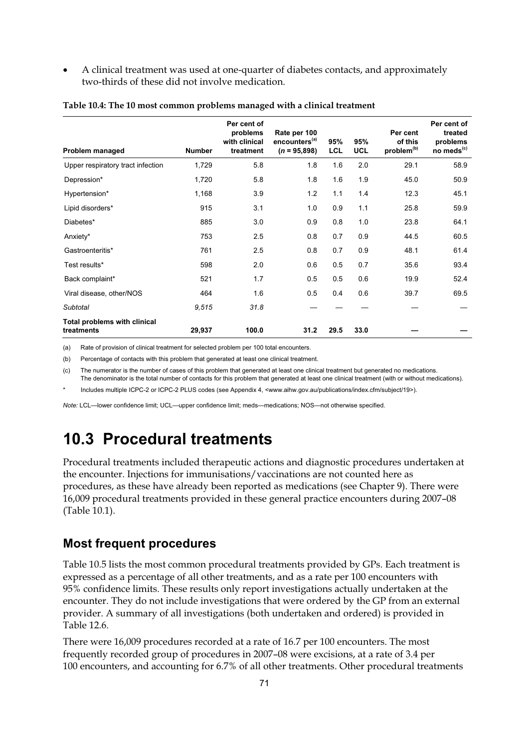$\bullet$  A clinical treatment was used at one-quarter of diabetes contacts, and approximately two-thirds of these did not involve medication.

| Problem managed                                   | <b>Number</b> | Per cent of<br>problems<br>with clinical<br>treatment | Rate per 100<br>encounters <sup>(a)</sup><br>$(n = 95,898)$ | 95%<br><b>LCL</b> | 95%<br><b>UCL</b> | Per cent<br>of this<br>problem <sup>(b)</sup> | Per cent of<br>treated<br>problems<br>no meds <sup>(c)</sup> |
|---------------------------------------------------|---------------|-------------------------------------------------------|-------------------------------------------------------------|-------------------|-------------------|-----------------------------------------------|--------------------------------------------------------------|
| Upper respiratory tract infection                 | 1,729         | 5.8                                                   | 1.8                                                         | 1.6               | 2.0               | 29.1                                          | 58.9                                                         |
| Depression*                                       | 1,720         | 5.8                                                   | 1.8                                                         | 1.6               | 1.9               | 45.0                                          | 50.9                                                         |
| Hypertension*                                     | 1,168         | 3.9                                                   | 1.2                                                         | 1.1               | 1.4               | 12.3                                          | 45.1                                                         |
| Lipid disorders*                                  | 915           | 3.1                                                   | 1.0                                                         | 0.9               | 1.1               | 25.8                                          | 59.9                                                         |
| Diabetes*                                         | 885           | 3.0                                                   | 0.9                                                         | 0.8               | 1.0               | 23.8                                          | 64.1                                                         |
| Anxiety*                                          | 753           | 2.5                                                   | 0.8                                                         | 0.7               | 0.9               | 44.5                                          | 60.5                                                         |
| Gastroenteritis*                                  | 761           | 2.5                                                   | 0.8                                                         | 0.7               | 0.9               | 48.1                                          | 61.4                                                         |
| Test results*                                     | 598           | 2.0                                                   | 0.6                                                         | 0.5               | 0.7               | 35.6                                          | 93.4                                                         |
| Back complaint*                                   | 521           | 1.7                                                   | 0.5                                                         | 0.5               | 0.6               | 19.9                                          | 52.4                                                         |
| Viral disease, other/NOS                          | 464           | 1.6                                                   | 0.5                                                         | 0.4               | 0.6               | 39.7                                          | 69.5                                                         |
| Subtotal                                          | 9.515         | 31.8                                                  |                                                             |                   |                   |                                               |                                                              |
| <b>Total problems with clinical</b><br>treatments | 29,937        | 100.0                                                 | 31.2                                                        | 29.5              | 33.0              |                                               |                                                              |

#### **Table 10.4: The 10 most common problems managed with a clinical treatment**

(a) Rate of provision of clinical treatment for selected problem per 100 total encounters.

(b) Percentage of contacts with this problem that generated at least one clinical treatment.

(c) The numerator is the number of cases of this problem that generated at least one clinical treatment but generated no medications.

The denominator is the total number of contacts for this problem that generated at least one clinical treatment (with or without medications). Includes multiple ICPC-2 or ICPC-2 PLUS codes (see Appendix 4, <www.aihw.gov.au/publications/index.cfm/subject/19>).

*Note:* LCL—lower confidence limit; UCL—upper confidence limit; meds—medications; NOS—not otherwise specified.

## **10.3 Procedural treatments**

Procedural treatments included therapeutic actions and diagnostic procedures undertaken at the encounter. Injections for immunisations/vaccinations are not counted here as procedures, as these have already been reported as medications (see Chapter 9). There were 16,009 procedural treatments provided in these general practice encounters during 2007–08 (Table 10.1).

### **Most frequent procedures**

Table 10.5 lists the most common procedural treatments provided by GPs. Each treatment is expressed as a percentage of all other treatments, and as a rate per 100 encounters with 95% confidence limits. These results only report investigations actually undertaken at the encounter. They do not include investigations that were ordered by the GP from an external provider. A summary of all investigations (both undertaken and ordered) is provided in Table 12.6.

There were 16,009 procedures recorded at a rate of 16.7 per 100 encounters. The most frequently recorded group of procedures in 2007–08 were excisions, at a rate of 3.4 per 100 encounters, and accounting for 6.7% of all other treatments. Other procedural treatments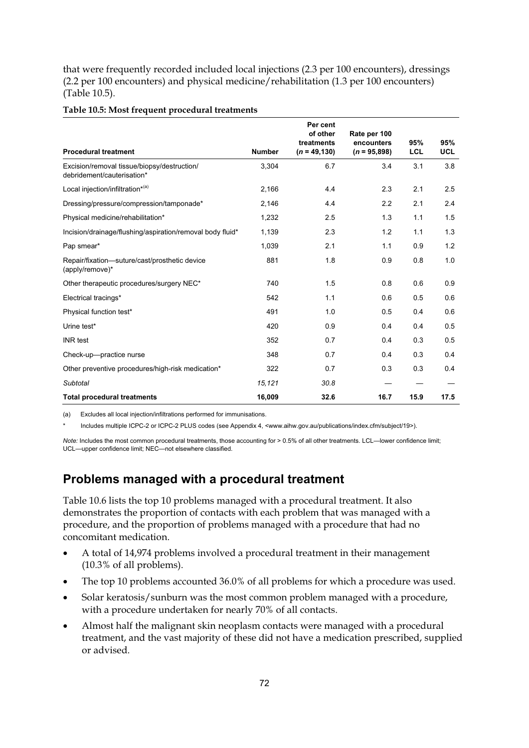that were frequently recorded included local injections (2.3 per 100 encounters), dressings (2.2 per 100 encounters) and physical medicine/rehabilitation (1.3 per 100 encounters) (Table 10.5).

| <b>Procedural treatment</b>                                               | <b>Number</b> | Per cent<br>of other<br>treatments<br>$(n = 49, 130)$ | Rate per 100<br>encounters<br>$(n = 95,898)$ | 95%<br><b>LCL</b> | 95%<br><b>UCL</b> |
|---------------------------------------------------------------------------|---------------|-------------------------------------------------------|----------------------------------------------|-------------------|-------------------|
| Excision/removal tissue/biopsy/destruction/<br>debridement/cauterisation* | 3,304         | 6.7                                                   | 3.4                                          | 3.1               | 3.8               |
| Local injection/infiltration*(a)                                          | 2,166         | 4.4                                                   | 2.3                                          | 2.1               | 2.5               |
| Dressing/pressure/compression/tamponade*                                  | 2,146         | 4.4                                                   | 2.2                                          | 2.1               | 2.4               |
| Physical medicine/rehabilitation*                                         | 1,232         | 2.5                                                   | 1.3                                          | 1.1               | 1.5               |
| Incision/drainage/flushing/aspiration/removal body fluid*                 | 1,139         | 2.3                                                   | 1.2                                          | 1.1               | 1.3               |
| Pap smear*                                                                | 1,039         | 2.1                                                   | 1.1                                          | 0.9               | 1.2               |
| Repair/fixation-suture/cast/prosthetic device<br>(apply/remove)*          | 881           | 1.8                                                   | 0.9                                          | 0.8               | 1.0               |
| Other therapeutic procedures/surgery NEC*                                 | 740           | 1.5                                                   | 0.8                                          | 0.6               | 0.9               |
| Electrical tracings*                                                      | 542           | 1.1                                                   | 0.6                                          | 0.5               | 0.6               |
| Physical function test*                                                   | 491           | 1.0                                                   | 0.5                                          | 0.4               | 0.6               |
| Urine test*                                                               | 420           | 0.9                                                   | 0.4                                          | 0.4               | 0.5               |
| <b>INR</b> test                                                           | 352           | 0.7                                                   | 0.4                                          | 0.3               | 0.5               |
| Check-up-practice nurse                                                   | 348           | 0.7                                                   | 0.4                                          | 0.3               | 0.4               |
| Other preventive procedures/high-risk medication*                         | 322           | 0.7                                                   | 0.3                                          | 0.3               | 0.4               |
| Subtotal                                                                  | 15,121        | 30.8                                                  |                                              |                   |                   |
| <b>Total procedural treatments</b>                                        | 16,009        | 32.6                                                  | 16.7                                         | 15.9              | 17.5              |

#### **Table 10.5: Most frequent procedural treatments**

(a) Excludes all local injection/infiltrations performed for immunisations.

Includes multiple ICPC-2 or ICPC-2 PLUS codes (see Appendix 4, <www.aihw.gov.au/publications/index.cfm/subject/19>).

*Note:* Includes the most common procedural treatments, those accounting for > 0.5% of all other treatments. LCL—lower confidence limit; UCL—upper confidence limit; NEC—not elsewhere classified.

### **Problems managed with a procedural treatment**

Table 10.6 lists the top 10 problems managed with a procedural treatment. It also demonstrates the proportion of contacts with each problem that was managed with a procedure, and the proportion of problems managed with a procedure that had no concomitant medication.

- $\bullet$  A total of 14,974 problems involved a procedural treatment in their management (10.3% of all problems).
- $\bullet$ The top 10 problems accounted 36.0% of all problems for which a procedure was used.
- $\bullet$  Solar keratosis/sunburn was the most common problem managed with a procedure, with a procedure undertaken for nearly 70% of all contacts.
- $\bullet$  Almost half the malignant skin neoplasm contacts were managed with a procedural treatment, and the vast majority of these did not have a medication prescribed, supplied or advised.